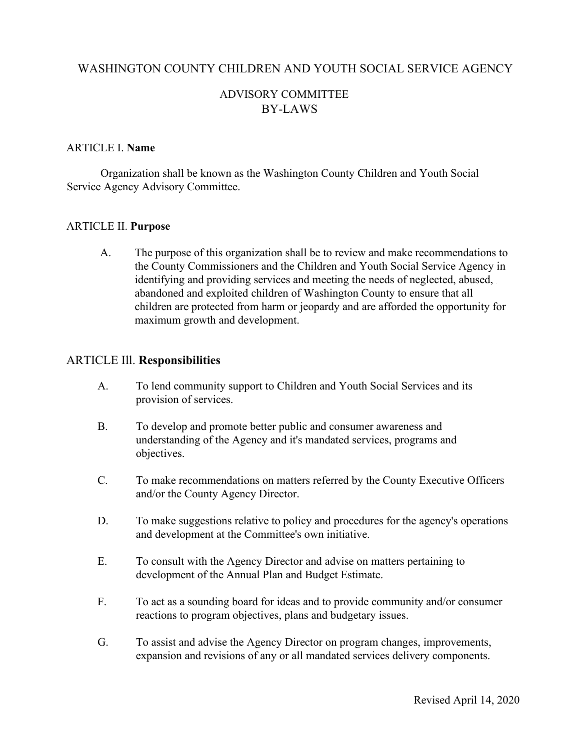### WASHINGTON COUNTY CHILDREN AND YOUTH SOCIAL SERVICE AGENCY

# ADVISORY COMMITTEE BY-LAWS

#### ARTICLE I. **Name**

Organization shall be known as the Washington County Children and Youth Social Service Agency Advisory Committee.

#### ARTICLE II. **Purpose**

A. The purpose of this organization shall be to review and make recommendations to the County Commissioners and the Children and Youth Social Service Agency in identifying and providing services and meeting the needs of neglected, abused, abandoned and exploited children of Washington County to ensure that all children are protected from harm or jeopardy and are afforded the opportunity for maximum growth and development.

#### ARTICLE Ill. **Responsibilities**

- A. To lend community support to Children and Youth Social Services and its provision of services.
- B. To develop and promote better public and consumer awareness and understanding of the Agency and it's mandated services, programs and objectives.
- C. To make recommendations on matters referred by the County Executive Officers and/or the County Agency Director.
- D. To make suggestions relative to policy and procedures for the agency's operations and development at the Committee's own initiative.
- E. To consult with the Agency Director and advise on matters pertaining to development of the Annual Plan and Budget Estimate.
- F. To act as a sounding board for ideas and to provide community and/or consumer reactions to program objectives, plans and budgetary issues.
- G. To assist and advise the Agency Director on program changes, improvements, expansion and revisions of any or all mandated services delivery components.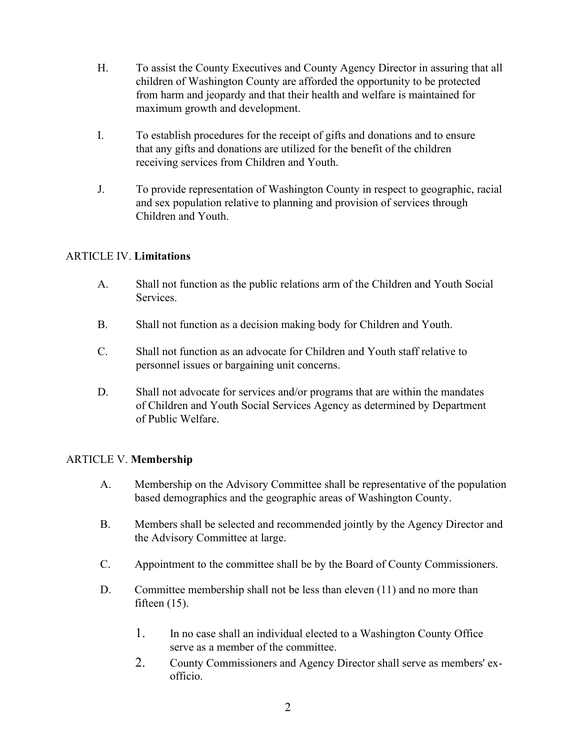- H. To assist the County Executives and County Agency Director in assuring that all children of Washington County are afforded the opportunity to be protected from harm and jeopardy and that their health and welfare is maintained for maximum growth and development.
- I. To establish procedures for the receipt of gifts and donations and to ensure that any gifts and donations are utilized for the benefit of the children receiving services from Children and Youth.
- J. To provide representation of Washington County in respect to geographic, racial and sex population relative to planning and provision of services through Children and Youth.

### ARTICLE IV. **Limitations**

- A. Shall not function as the public relations arm of the Children and Youth Social **Services**
- B. Shall not function as a decision making body for Children and Youth.
- C. Shall not function as an advocate for Children and Youth staff relative to personnel issues or bargaining unit concerns.
- D. Shall not advocate for services and/or programs that are within the mandates of Children and Youth Social Services Agency as determined by Department of Public Welfare.

### ARTICLE V. **Membership**

- A. Membership on the Advisory Committee shall be representative of the population based demographics and the geographic areas of Washington County.
- B. Members shall be selected and recommended jointly by the Agency Director and the Advisory Committee at large.
- C. Appointment to the committee shall be by the Board of County Commissioners.
- D. Committee membership shall not be less than eleven (11) and no more than fifteen  $(15)$ .
	- 1. In no case shall an individual elected to a Washington County Office serve as a member of the committee.
	- 2. County Commissioners and Agency Director shall serve as members' exofficio.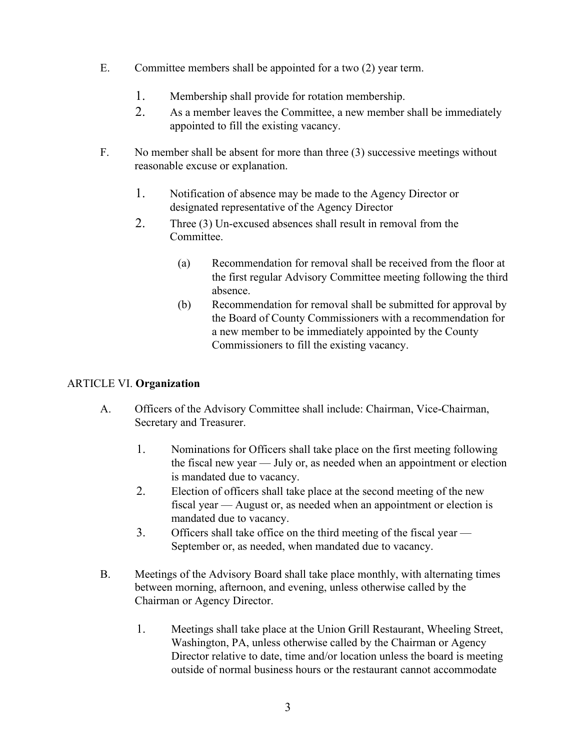- E. Committee members shall be appointed for a two (2) year term.
	- 1. Membership shall provide for rotation membership.
	- 2. As a member leaves the Committee, a new member shall be immediately appointed to fill the existing vacancy.
- F. No member shall be absent for more than three (3) successive meetings without reasonable excuse or explanation.
	- 1. Notification of absence may be made to the Agency Director or designated representative of the Agency Director
	- 2. Three (3) Un-excused absences shall result in removal from the **Committee** 
		- (a) Recommendation for removal shall be received from the floor at the first regular Advisory Committee meeting following the third absence.
		- (b) Recommendation for removal shall be submitted for approval by the Board of County Commissioners with a recommendation for a new member to be immediately appointed by the County Commissioners to fill the existing vacancy.

# ARTICLE VI. **Organization**

- A. Officers of the Advisory Committee shall include: Chairman, Vice-Chairman, Secretary and Treasurer.
	- 1. Nominations for Officers shall take place on the first meeting following the fiscal new year — July or, as needed when an appointment or election is mandated due to vacancy.
	- 2. Election of officers shall take place at the second meeting of the new fiscal year — August or, as needed when an appointment or election is mandated due to vacancy.
	- 3. Officers shall take office on the third meeting of the fiscal year September or, as needed, when mandated due to vacancy.
- B. Meetings of the Advisory Board shall take place monthly, with alternating times between morning, afternoon, and evening, unless otherwise called by the Chairman or Agency Director.
	- 1. Meetings shall take place at the Union Grill Restaurant, Wheeling Street, Washington, PA, unless otherwise called by the Chairman or Agency Director relative to date, time and/or location unless the board is meeting outside of normal business hours or the restaurant cannot accommodate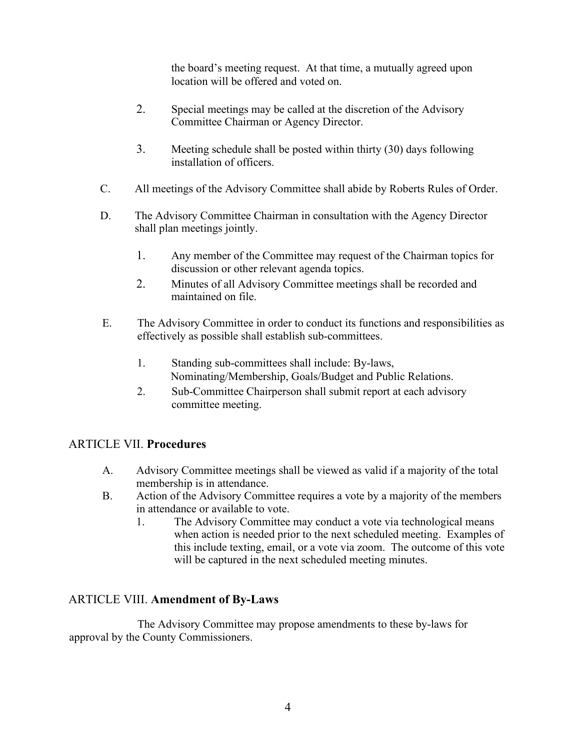the board's meeting request. At that time, a mutually agreed upon location will be offered and voted on.

- 2. Special meetings may be called at the discretion of the Advisory Committee Chairman or Agency Director.
- 3. Meeting schedule shall be posted within thirty (30) days following installation of officers.
- C. All meetings of the Advisory Committee shall abide by Roberts Rules of Order.
- D. The Advisory Committee Chairman in consultation with the Agency Director shall plan meetings jointly.
	- 1. Any member of the Committee may request of the Chairman topics for discussion or other relevant agenda topics.
	- 2. Minutes of all Advisory Committee meetings shall be recorded and maintained on file.
- E. The Advisory Committee in order to conduct its functions and responsibilities as effectively as possible shall establish sub-committees.
	- 1. Standing sub-committees shall include: By-laws, Nominating/Membership, Goals/Budget and Public Relations.
	- 2. Sub-Committee Chairperson shall submit report at each advisory committee meeting.

# ARTICLE VII. **Procedures**

- A. Advisory Committee meetings shall be viewed as valid if a majority of the total membership is in attendance.
- B. Action of the Advisory Committee requires a vote by a majority of the members in attendance or available to vote.
	- 1. The Advisory Committee may conduct a vote via technological means when action is needed prior to the next scheduled meeting. Examples of this include texting, email, or a vote via zoom. The outcome of this vote will be captured in the next scheduled meeting minutes.

# ARTICLE VIII. **Amendment of By-Laws**

The Advisory Committee may propose amendments to these by-laws for approval by the County Commissioners.